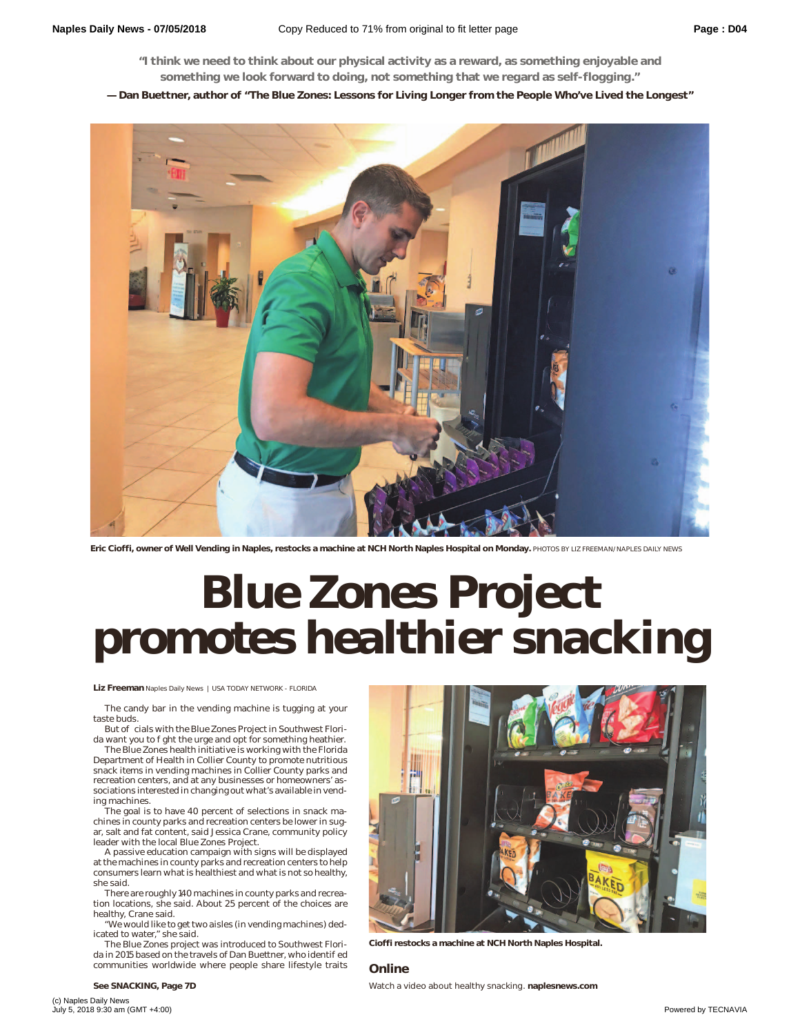**"I think we need to think about our physical activity as a reward, as something enjoyable and something we look forward to doing, not something that we regard as self-flogging."**

**— Dan Buettner, author of "The Blue Zones: Lessons for Living Longer from the People Who've Lived the Longest"**



**Eric Cioffi, owner of Well Vending in Naples, restocks a machine at NCH North Naples Hospital on Monday.** PHOTOS BY LIZ FREEMAN/NAPLES DAILY NEWS

## **blue Accords** Project **Blue Cones promotes health Naples Daily News | USA TODAY NETWORK - FLORIDA**

**Liz Freeman** Naples Daily News | USA TODAY NETWORK - FLORIDA

The candy bar in the vending machine is tugging at your taste buds.

But officials with the Blue Zones Project in Southwest Florida want you to ght the urge and opt for something heathier.

The Blue Zones health initiative is working with the Florida Department of Health in Collier County to promote nutritious snack items in vending machines in Collier County parks and recreation centers, and at any businesses or homeowners' associations interested in changing out what's available in vend-

ing machines. The goal is to have 40 percent of selections in snack machines in county parks and recreation centers be lower in sugar, salt and fat content, said Jessica Crane, community policy leader with the local Blue Zones Project.

A passive education campaign with signs will be displayed at the machines in county parks and recreation centers to help consumers learn what is healthiest and what is not so healthy, she said.

There are roughly 140 machines in county parks and recreation locations, she said. About 25 percent of the choices are healthy, Crane said.

"We would like to get two aisles (in vending machines) dedicated to water," she said.

The Blue Zones project was introduced to Southwest Florida in 2015 based on the travels of Dan Buettner, who identi ed communities worldwide where people share lifestyle traits



**Cioffi restocks a machine at NCH North Naples Hospital.**

## **Online**

**See SNACKING, Page 7D** Watch a video about healthy snacking. **naplesnews.com**